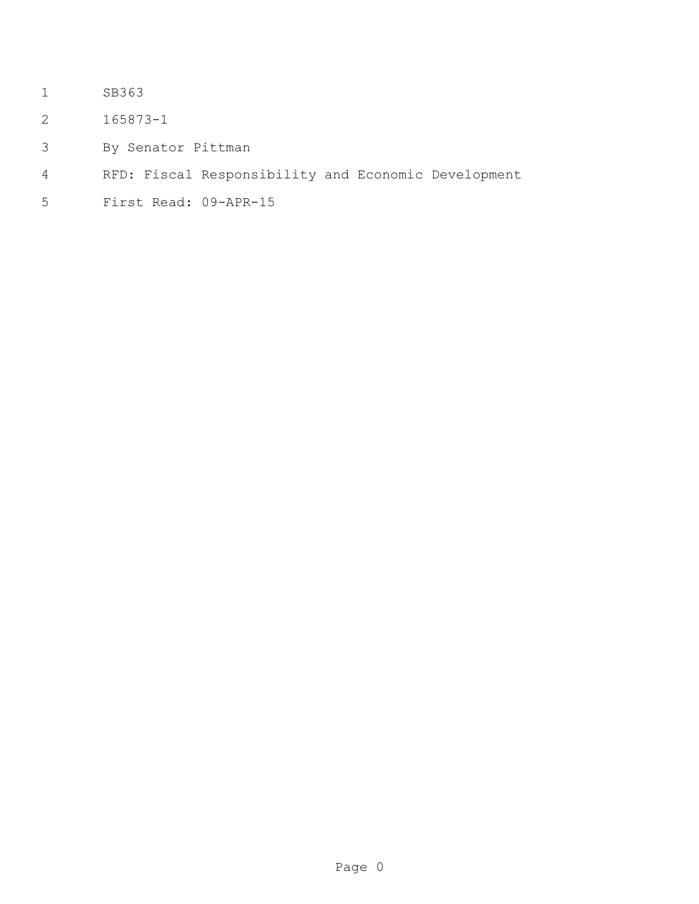- SB363
- 165873-1
- By Senator Pittman
- RFD: Fiscal Responsibility and Economic Development
- First Read: 09-APR-15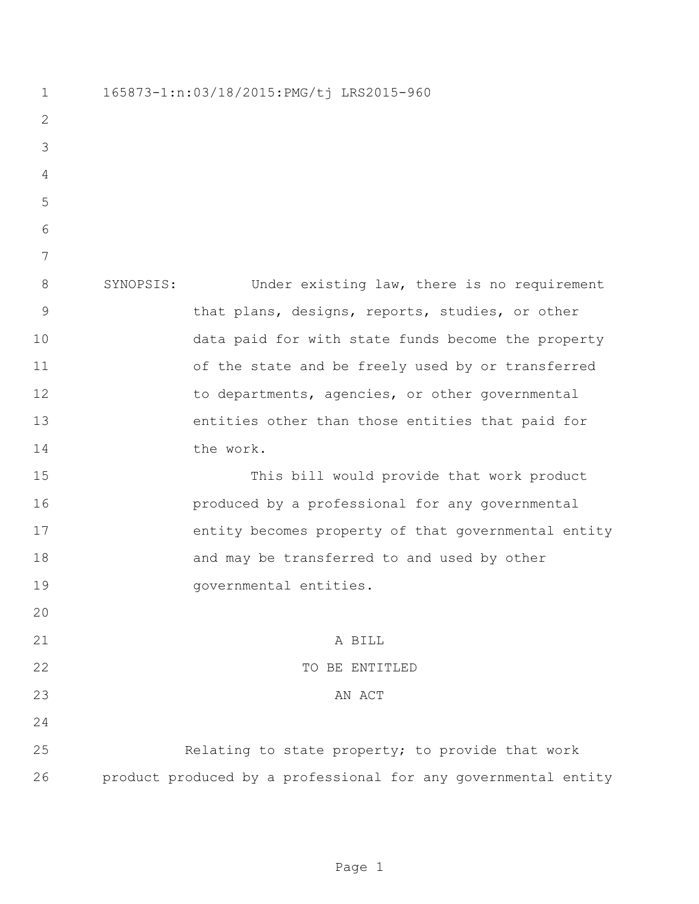165873-1:n:03/18/2015:PMG/tj LRS2015-960 SYNOPSIS: Under existing law, there is no requirement that plans, designs, reports, studies, or other data paid for with state funds become the property 11 of the state and be freely used by or transferred 12 to departments, agencies, or other governmental entities other than those entities that paid for the work. This bill would provide that work product produced by a professional for any governmental entity becomes property of that governmental entity 18 and may be transferred to and used by other **governmental entities.**  A BILL 22 TO BE ENTITLED 23 AN ACT Relating to state property; to provide that work product produced by a professional for any governmental entity